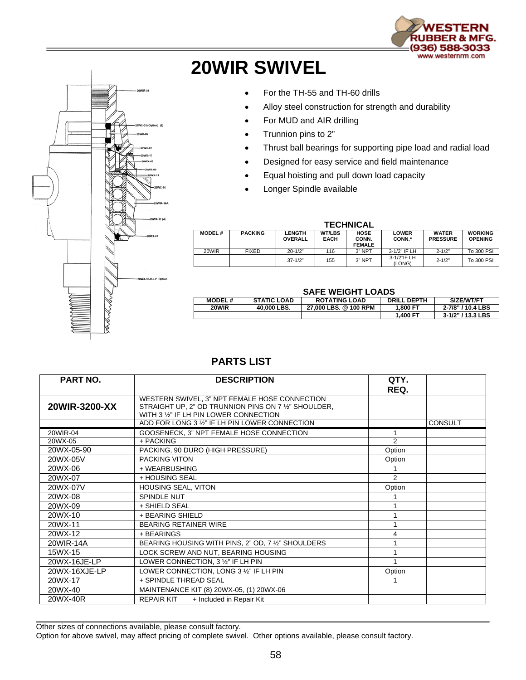



## **20WIR SWIVEL**

- For the TH-55 and TH-60 drills
- Alloy steel construction for strength and durability
- For MUD and AIR drilling
- Trunnion pins to 2"
- Thrust ball bearings for supporting pipe load and radial load
- Designed for easy service and field maintenance
- Equal hoisting and pull down load capacity
- Longer Spindle available

## **TECHNICAL**

| <b>MODEL#</b> | <b>PACKING</b> | <b>LENGTH</b><br><b>OVERALL</b> | <b>WT/LBS</b><br><b>EACH</b> | <b>HOSE</b><br>CONN.<br><b>FEMALE</b> | <b>LOWER</b><br>CONN.* | <b>WATER</b><br><b>PRESSURE</b> | <b>WORKING</b><br><b>OPENING</b> |  |  |  |
|---------------|----------------|---------------------------------|------------------------------|---------------------------------------|------------------------|---------------------------------|----------------------------------|--|--|--|
| 20WIR         | <b>FIXED</b>   | $20 - 1/2"$                     | 116                          | 3" NPT                                | 3-1/2" IF LH           | $2 - 1/2"$                      | To 300 PSI                       |  |  |  |
|               |                | $37 - 1/2"$                     | 155                          | $3"$ NPT                              | 3-1/2"IF LH<br>(LONG)  | $2 - 1/2"$                      | To 300 PSI                       |  |  |  |

## **SAFE WEIGHT LOADS**

| 971 E H H     |                    |                       |                    |                   |  |  |  |
|---------------|--------------------|-----------------------|--------------------|-------------------|--|--|--|
| <b>MODEL#</b> | <b>STATIC LOAD</b> | <b>ROTATING LOAD</b>  | <b>DRILL DEPTH</b> | SIZE/WT/FT        |  |  |  |
| 20WIR         | 40.000 LBS.        | 27.000 LBS, @ 100 RPM | 1.800 FT           | 2-7/8" / 10.4 LBS |  |  |  |
|               |                    |                       | 1.400 FT           | 3-1/2" / 13.3 LBS |  |  |  |
|               |                    |                       |                    |                   |  |  |  |

## **PARTS LIST**

| <b>PART NO.</b> | <b>DESCRIPTION</b>                                                                                                                              | QTY.          |                |
|-----------------|-------------------------------------------------------------------------------------------------------------------------------------------------|---------------|----------------|
|                 |                                                                                                                                                 | REQ.          |                |
| 20WIR-3200-XX   | WESTERN SWIVEL, 3" NPT FEMALE HOSE CONNECTION<br>STRAIGHT UP, 2" OD TRUNNION PINS ON 7 1/2" SHOULDER,<br>WITH 3 1/2" IF LH PIN LOWER CONNECTION |               |                |
|                 | ADD FOR LONG 3 1/2" IF LH PIN LOWER CONNECTION                                                                                                  |               | <b>CONSULT</b> |
| 20WIR-04        | GOOSENECK, 3" NPT FEMALE HOSE CONNECTION                                                                                                        |               |                |
| 20WX-05         | + PACKING                                                                                                                                       | 2             |                |
| 20WX-05-90      | PACKING, 90 DURO (HIGH PRESSURE)                                                                                                                | Option        |                |
| 20WX-05V        | PACKING VITON                                                                                                                                   | Option        |                |
| 20WX-06         | + WEARBUSHING                                                                                                                                   |               |                |
| 20WX-07         | + HOUSING SEAL                                                                                                                                  | $\mathcal{P}$ |                |
| 20WX-07V        | HOUSING SEAL, VITON                                                                                                                             | Option        |                |
| 20WX-08         | SPINDLE NUT                                                                                                                                     |               |                |
| 20WX-09         | + SHIELD SEAL                                                                                                                                   |               |                |
| 20WX-10         | + BEARING SHIELD                                                                                                                                |               |                |
| 20WX-11         | <b>BEARING RETAINER WIRE</b>                                                                                                                    |               |                |
| 20WX-12         | + BEARINGS                                                                                                                                      | 4             |                |
| 20WIR-14A       | BEARING HOUSING WITH PINS, 2" OD, 7 1/2" SHOULDERS                                                                                              |               |                |
| 15WX-15         | LOCK SCREW AND NUT, BEARING HOUSING                                                                                                             |               |                |
| 20WX-16JE-LP    | LOWER CONNECTION, 3 1/2" IF LH PIN                                                                                                              |               |                |
| 20WX-16XJE-LP   | LOWER CONNECTION, LONG 3 1/2" IF LH PIN                                                                                                         | Option        |                |
| 20WX-17         | + SPINDLE THREAD SEAL                                                                                                                           |               |                |
| 20WX-40         | MAINTENANCE KIT (8) 20WX-05, (1) 20WX-06                                                                                                        |               |                |
| 20WX-40R        | + Included in Repair Kit<br><b>REPAIR KIT</b>                                                                                                   |               |                |

Other sizes of connections available, please consult factory.

Option for above swivel, may affect pricing of complete swivel. Other options available, please consult factory.